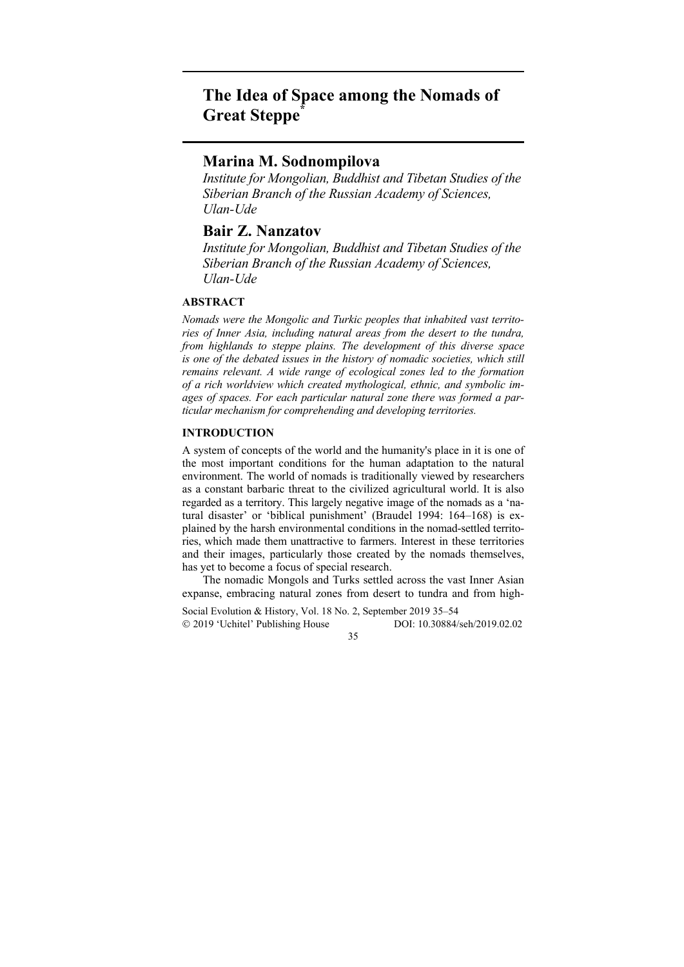# **The Idea of Space among the Nomads of Great Steppe\***

# **Marina M. Sodnompilova**

*Institute for Mongolian, Buddhist and Tibetan Studies of the Siberian Branch of the Russian Academy of Sciences, Ulan-Ude* 

## **Bair Z. Nanzatov**

*Institute for Mongolian, Buddhist and Tibetan Studies of the Siberian Branch of the Russian Academy of Sciences, Ulan-Ude* 

## **ABSTRACT**

*Nomads were the Mongolic and Turkic peoples that inhabited vast territories of Inner Asia, including natural areas from the desert to the tundra, from highlands to steppe plains. The development of this diverse space is one of the debated issues in the history of nomadic societies, which still remains relevant. A wide range of ecological zones led to the formation of a rich worldview which created mythological, ethnic, and symbolic images of spaces. For each particular natural zone there was formed a particular mechanism for comprehending and developing territories.* 

## **INTRODUCTION**

A system of concepts of the world and the humanity's place in it is one of the most important conditions for the human adaptation to the natural environment. The world of nomads is traditionally viewed by researchers as a constant barbaric threat to the civilized agricultural world. It is also regarded as a territory. This largely negative image of the nomads as a 'natural disaster' or 'biblical punishment' (Braudel 1994: 164–168) is explained by the harsh environmental conditions in the nomad-settled territories, which made them unattractive to farmers. Interest in these territories and their images, particularly those created by the nomads themselves, has yet to become a focus of special research.

The nomadic Mongols and Turks settled across the vast Inner Asian expanse, embracing natural zones from desert to tundra and from high-

Social Evolution & History, Vol. 18 No. 2, September 2019 35–54 2019 'Uchitel' Publishing House DOI: 10.30884/seh/2019.02.02

35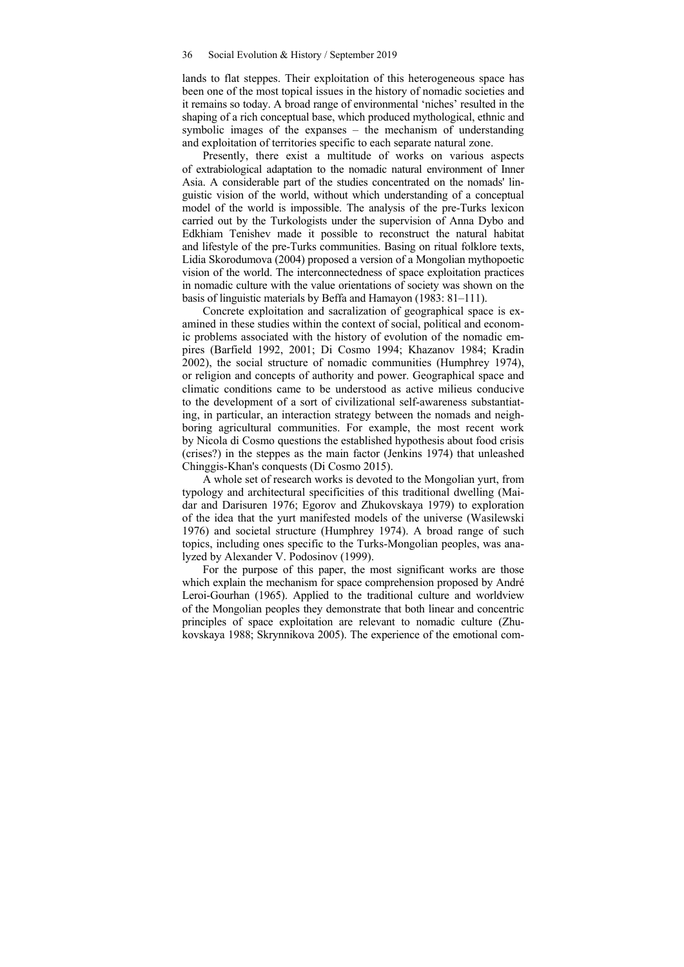lands to flat steppes. Their exploitation of this heterogeneous space has been one of the most topical issues in the history of nomadic societies and it remains so today. A broad range of environmental 'niches' resulted in the shaping of a rich conceptual base, which produced mythological, ethnic and symbolic images of the expanses – the mechanism of understanding and exploitation of territories specific to each separate natural zone.

Presently, there exist a multitude of works on various aspects of extrabiological adaptation to the nomadic natural environment of Inner Asia. A considerable part of the studies concentrated on the nomads' linguistic vision of the world, without which understanding of a conceptual model of the world is impossible. The analysis of the pre-Turks lexicon carried out by the Turkologists under the supervision of Anna Dybo and Edkhiam Tenishev made it possible to reconstruct the natural habitat and lifestyle of the pre-Turks communities. Basing on ritual folklore texts, Lidia Skorodumova (2004) proposed a version of a Mongolian mythopoetic vision of the world. The interconnectedness of space exploitation practices in nomadic culture with the value orientations of society was shown on the basis of linguistic materials by Beffa and Hamayon (1983: 81–111).

Concrete exploitation and sacralization of geographical space is examined in these studies within the context of social, political and economic problems associated with the history of evolution of the nomadic empires (Barfield 1992, 2001; Di Cosmo 1994; Khazanov 1984; Kradin 2002), the social structure of nomadic communities (Humphrey 1974), or religion and concepts of authority and power. Geographical space and climatic conditions came to be understood as active milieus conducive to the development of a sort of civilizational self-awareness substantiating, in particular, an interaction strategy between the nomads and neighboring agricultural communities. For example, the most recent work by Nicola di Cosmo questions the established hypothesis about food crisis (crises?) in the steppes as the main factor (Jenkins 1974) that unleashed Chinggis-Khan's conquests (Di Cosmo 2015).

A whole set of research works is devoted to the Mongolian yurt, from typology and architectural specificities of this traditional dwelling (Maidar and Darisuren 1976; Egorov and Zhukovskaya 1979) to exploration of the idea that the yurt manifested models of the universe (Wasilewski 1976) and societal structure (Humphrey 1974). A broad range of such topics, including ones specific to the Turks-Mongolian peoples, was analyzed by Alexander V. Podosinov (1999).

For the purpose of this paper, the most significant works are those which explain the mechanism for space comprehension proposed by André Leroi-Gourhan (1965). Applied to the traditional culture and worldview of the Mongolian peoples they demonstrate that both linear and concentric principles of space exploitation are relevant to nomadic culture (Zhukovskaya 1988; Skrynnikova 2005). The experience of the emotional com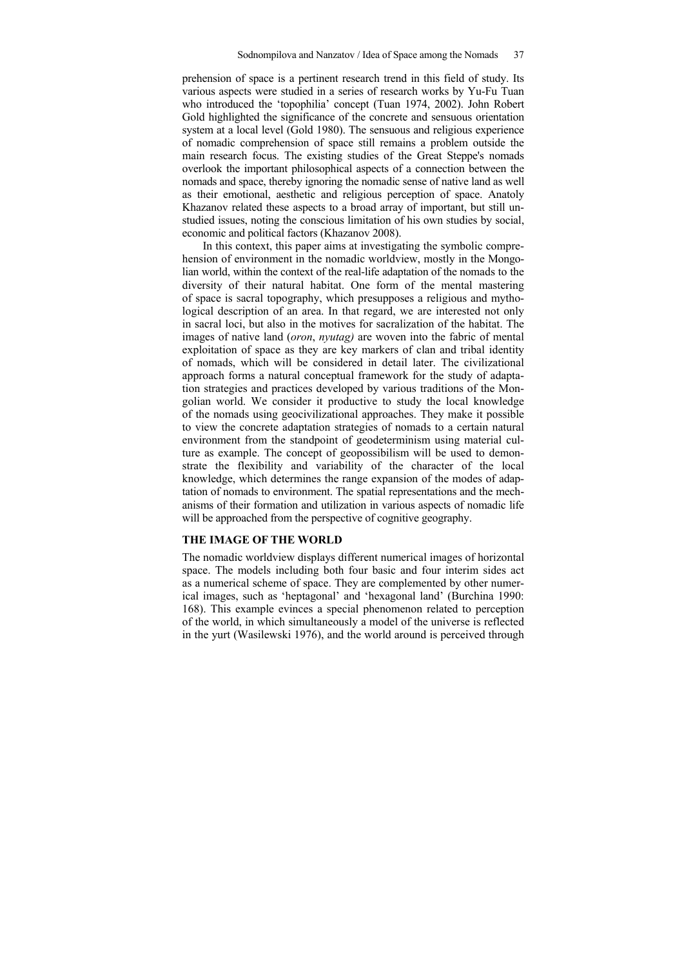prehension of space is a pertinent research trend in this field of study. Its various aspects were studied in a series of research works by Yu-Fu Tuan who introduced the 'topophilia' concept (Tuan 1974, 2002). John Robert Gold highlighted the significance of the concrete and sensuous orientation system at a local level (Gold 1980). The sensuous and religious experience of nomadic comprehension of space still remains a problem outside the main research focus. The existing studies of the Great Steppe's nomads overlook the important philosophical aspects of a connection between the nomads and space, thereby ignoring the nomadic sense of native land as well as their emotional, aesthetic and religious perception of space. Anatoly Khazanov related these aspects to a broad array of important, but still unstudied issues, noting the conscious limitation of his own studies by social, economic and political factors (Khazanov 2008).

In this context, this paper aims at investigating the symbolic comprehension of environment in the nomadic worldview, mostly in the Mongolian world, within the context of the real-life adaptation of the nomads to the diversity of their natural habitat. One form of the mental mastering of space is sacral topography, which presupposes a religious and mythological description of an area. In that regard, we are interested not only in sacral loci, but also in the motives for sacralization of the habitat. The images of native land (*oron*, *nyutag)* are woven into the fabric of mental exploitation of space as they are key markers of clan and tribal identity of nomads, which will be considered in detail later. The civilizational approach forms a natural conceptual framework for the study of adaptation strategies and practices developed by various traditions of the Mongolian world. We consider it productive to study the local knowledge of the nomads using geocivilizational approaches. They make it possible to view the concrete adaptation strategies of nomads to a certain natural environment from the standpoint of geodeterminism using material culture as example. The concept of geopossibilism will be used to demonstrate the flexibility and variability of the character of the local knowledge, which determines the range expansion of the modes of adaptation of nomads to environment. The spatial representations and the mechanisms of their formation and utilization in various aspects of nomadic life will be approached from the perspective of cognitive geography.

#### **THE IMAGE OF THE WORLD**

The nomadic worldview displays different numerical images of horizontal space. The models including both four basic and four interim sides act as a numerical scheme of space. They are complemented by other numerical images, such as 'heptagonal' and 'hexagonal land' (Burchina 1990: 168). This example evinces a special phenomenon related to perception of the world, in which simultaneously a model of the universe is reflected in the yurt (Wasilewski 1976), and the world around is perceived through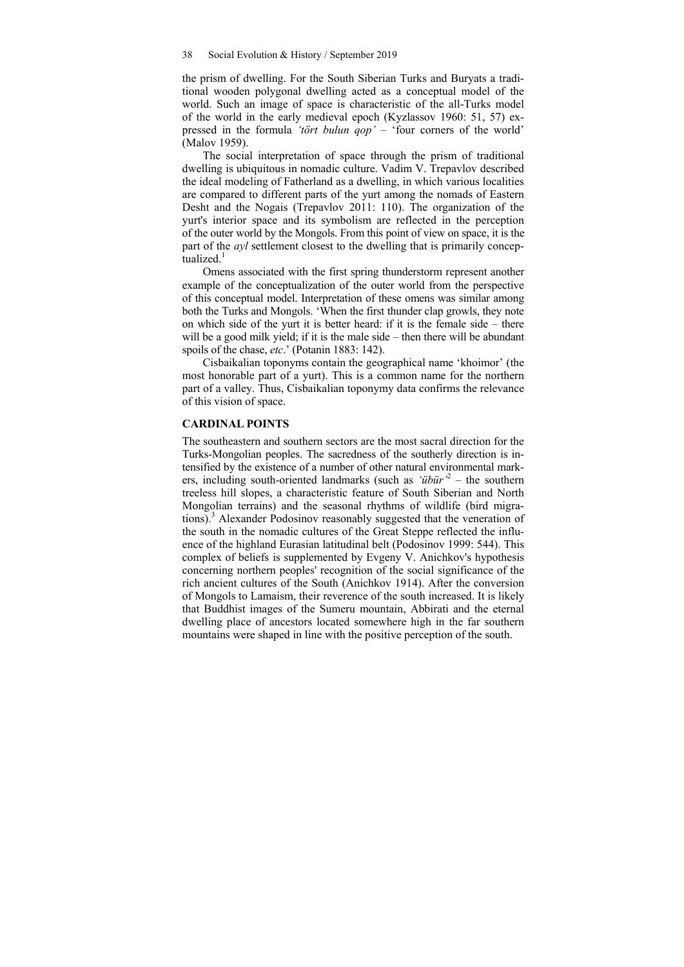the prism of dwelling. For the South Siberian Turks and Buryats a traditional wooden polygonal dwelling acted as a conceptual model of the world. Such an image of space is characteristic of the all-Turks model of the world in the early medieval epoch (Kyzlassov 1960: 51, 57) expressed in the formula *'tört bulun qop'* – 'four corners of the world' (Malov 1959).

The social interpretation of space through the prism of traditional dwelling is ubiquitous in nomadic culture. Vadim V. Trepavlov described the ideal modeling of Fatherland as a dwelling, in which various localities are compared to different parts of the yurt among the nomads of Eastern Desht and the Nogais (Trepavlov 2011: 110). The organization of the yurt's interior space and its symbolism are reflected in the perception of the outer world by the Mongols. From this point of view on space, it is the part of the *ayl* settlement closest to the dwelling that is primarily conceptualized. $1$ 

Omens associated with the first spring thunderstorm represent another example of the conceptualization of the outer world from the perspective of this conceptual model. Interpretation of these omens was similar among both the Turks and Mongols. 'When the first thunder clap growls, they note on which side of the yurt it is better heard: if it is the female side – there will be a good milk yield; if it is the male side – then there will be abundant spoils of the chase, *etc*.' (Potanin 1883: 142).

Cisbaikalian toponyms contain the geographical name 'khoimor' (the most honorable part of a yurt). This is a common name for the northern part of a valley. Thus, Cisbaikalian toponymy data confirms the relevance of this vision of space.

## **CARDINAL POINTS**

The southeastern and southern sectors are the most sacral direction for the Turks-Mongolian peoples. The sacredness of the southerly direction is intensified by the existence of a number of other natural environmental markers, including south-oriented landmarks (such as '*übür*'<sup>2</sup> – the southern treeless hill slopes, a characteristic feature of South Siberian and North Mongolian terrains) and the seasonal rhythms of wildlife (bird migrations).<sup>3</sup> Alexander Podosinov reasonably suggested that the veneration of the south in the nomadic cultures of the Great Steppe reflected the influence of the highland Eurasian latitudinal belt (Podosinov 1999: 544). This complex of beliefs is supplemented by Evgeny V. Anichkov's hypothesis concerning northern peoples' recognition of the social significance of the rich ancient cultures of the South (Anichkov 1914). After the conversion of Mongols to Lamaism, their reverence of the south increased. It is likely that Buddhist images of the Sumeru mountain, Abbirati and the eternal dwelling place of ancestors located somewhere high in the far southern mountains were shaped in line with the positive perception of the south.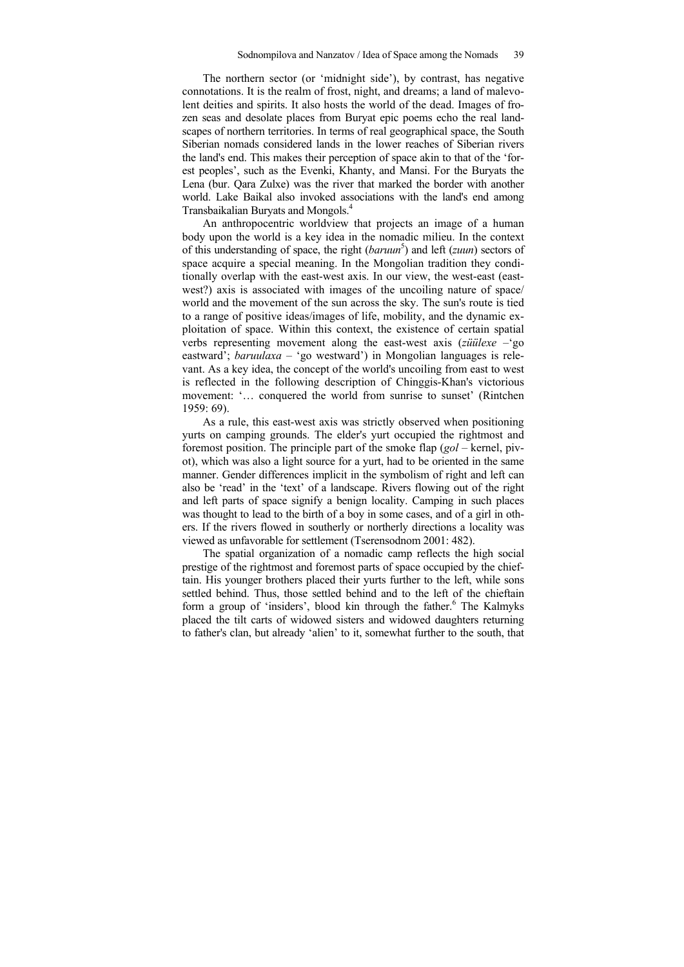The northern sector (or 'midnight side'), by contrast, has negative connotations. It is the realm of frost, night, and dreams; a land of malevolent deities and spirits. It also hosts the world of the dead. Images of frozen seas and desolate places from Buryat epic poems echo the real landscapes of northern territories. In terms of real geographical space, the South Siberian nomads considered lands in the lower reaches of Siberian rivers the land's end. This makes their perception of space akin to that of the 'forest peoples', such as the Evenki, Khanty, and Mansi. For the Buryats the Lena (bur. Qara Zulxe) was the river that marked the border with another world. Lake Baikal also invoked associations with the land's end among Transbaikalian Buryats and Mongols.4

An anthropocentric worldview that projects an image of a human body upon the world is a key idea in the nomadic milieu. In the context of this understanding of space, the right (*baruun*<sup>5</sup>) and left (*zuun*) sectors of space acquire a special meaning. In the Mongolian tradition they conditionally overlap with the east-west axis. In our view, the west-east (eastwest?) axis is associated with images of the uncoiling nature of space/ world and the movement of the sun across the sky. The sun's route is tied to a range of positive ideas/images of life, mobility, and the dynamic exploitation of space. Within this context, the existence of certain spatial verbs representing movement along the east-west axis (*züülexe* –'go eastward'; *baruulaxa* – 'go westward') in Mongolian languages is relevant. As a key idea, the concept of the world's uncoiling from east to west is reflected in the following description of Chinggis-Khan's victorious movement: '… conquered the world from sunrise to sunset' (Rintchen 1959: 69).

As a rule, this east-west axis was strictly observed when positioning yurts on camping grounds. The elder's yurt occupied the rightmost and foremost position. The principle part of the smoke flap (*gol* – kernel, pivot), which was also a light source for a yurt, had to be oriented in the same manner. Gender differences implicit in the symbolism of right and left can also be 'read' in the 'text' of a landscape. Rivers flowing out of the right and left parts of space signify a benign locality. Camping in such places was thought to lead to the birth of a boy in some cases, and of a girl in others. If the rivers flowed in southerly or northerly directions a locality was viewed as unfavorable for settlement (Tserensodnom 2001: 482).

The spatial organization of a nomadic camp reflects the high social prestige of the rightmost and foremost parts of space occupied by the chieftain. His younger brothers placed their yurts further to the left, while sons settled behind. Thus, those settled behind and to the left of the chieftain form a group of 'insiders', blood kin through the father.<sup>6</sup> The Kalmyks placed the tilt carts of widowed sisters and widowed daughters returning to father's clan, but already 'alien' to it, somewhat further to the south, that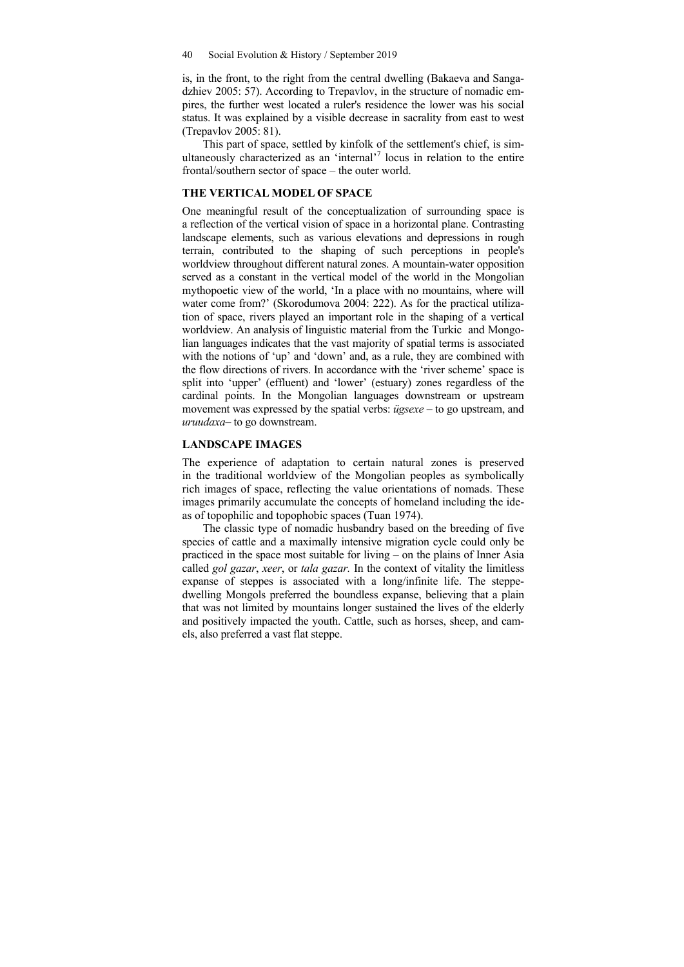is, in the front, to the right from the central dwelling (Bakaeva and Sangadzhiev 2005: 57). According to Trepavlov, in the structure of nomadic empires, the further west located a ruler's residence the lower was his social status. It was explained by a visible decrease in sacrality from east to west (Trepavlov 2005: 81).

This part of space, settled by kinfolk of the settlement's chief, is simultaneously characterized as an 'internal'<sup>7</sup> locus in relation to the entire frontal/southern sector of space – the outer world.

## **THE VERTICAL MODEL OF SPACE**

One meaningful result of the conceptualization of surrounding space is a reflection of the vertical vision of space in a horizontal plane. Contrasting landscape elements, such as various elevations and depressions in rough terrain, contributed to the shaping of such perceptions in people's worldview throughout different natural zones. A mountain-water opposition served as a constant in the vertical model of the world in the Mongolian mythopoetic view of the world, 'In a place with no mountains, where will water come from?' (Skorodumova 2004: 222). As for the practical utilization of space, rivers played an important role in the shaping of a vertical worldview. An analysis of linguistic material from the Turkic and Mongolian languages indicates that the vast majority of spatial terms is associated with the notions of 'up' and 'down' and, as a rule, they are combined with the flow directions of rivers. In accordance with the 'river scheme' space is split into 'upper' (effluent) and 'lower' (estuary) zones regardless of the cardinal points. In the Mongolian languages downstream or upstream movement was expressed by the spatial verbs: *ügsexe* – to go upstream, and *uruudaxa*– to go downstream.

## **LANDSCAPE IMAGES**

The experience of adaptation to certain natural zones is preserved in the traditional worldview of the Mongolian peoples as symbolically rich images of space, reflecting the value orientations of nomads. These images primarily accumulate the concepts of homeland including the ideas of topophilic and topophobic spaces (Tuan 1974).

The classic type of nomadic husbandry based on the breeding of five species of cattle and a maximally intensive migration cycle could only be practiced in the space most suitable for living – on the plains of Inner Asia called *gol gazar*, *xeer*, or *tala gazar.* In the context of vitality the limitless expanse of steppes is associated with a long/infinite life. The steppedwelling Mongols preferred the boundless expanse, believing that a plain that was not limited by mountains longer sustained the lives of the elderly and positively impacted the youth. Cattle, such as horses, sheep, and camels, also preferred a vast flat steppe.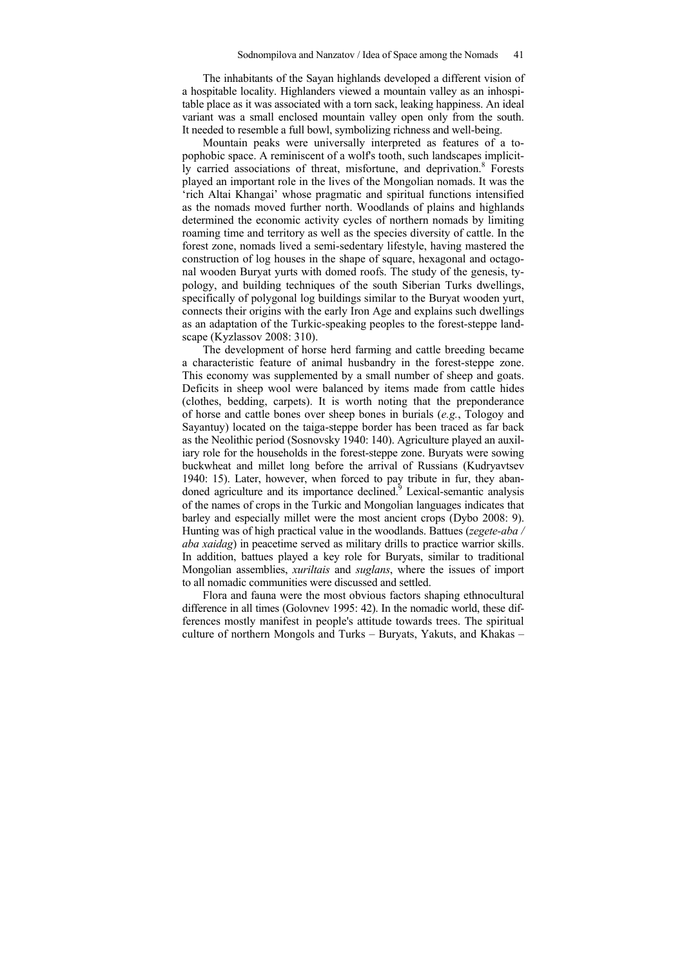The inhabitants of the Sayan highlands developed a different vision of a hospitable locality. Highlanders viewed a mountain valley as an inhospitable place as it was associated with a torn sack, leaking happiness. An ideal variant was a small enclosed mountain valley open only from the south. It needed to resemble a full bowl, symbolizing richness and well-being.

Mountain peaks were universally interpreted as features of a topophobic space. A reminiscent of a wolf's tooth, such landscapes implicitly carried associations of threat, misfortune, and deprivation.<sup>8</sup> Forests played an important role in the lives of the Mongolian nomads. It was the 'rich Altai Khangai' whose pragmatic and spiritual functions intensified as the nomads moved further north. Woodlands of plains and highlands determined the economic activity cycles of northern nomads by limiting roaming time and territory as well as the species diversity of cattle. In the forest zone, nomads lived a semi-sedentary lifestyle, having mastered the construction of log houses in the shape of square, hexagonal and octagonal wooden Buryat yurts with domed roofs. The study of the genesis, typology, and building techniques of the south Siberian Turks dwellings, specifically of polygonal log buildings similar to the Buryat wooden yurt, connects their origins with the early Iron Age and explains such dwellings as an adaptation of the Turkic-speaking peoples to the forest-steppe landscape (Kyzlassov 2008: 310).

The development of horse herd farming and cattle breeding became a characteristic feature of animal husbandry in the forest-steppe zone. This economy was supplemented by a small number of sheep and goats. Deficits in sheep wool were balanced by items made from cattle hides (clothes, bedding, carpets). It is worth noting that the preponderance of horse and cattle bones over sheep bones in burials (*e.g.*, Tologoy and Sayantuy) located on the taiga-steppe border has been traced as far back as the Neolithic period (Sosnovsky 1940: 140). Agriculture played an auxiliary role for the households in the forest-steppe zone. Buryats were sowing buckwheat and millet long before the arrival of Russians (Kudryavtsev 1940: 15). Later, however, when forced to pay tribute in fur, they abandoned agriculture and its importance declined.<sup>9</sup> Lexical-semantic analysis of the names of crops in the Turkic and Mongolian languages indicates that barley and especially millet were the most ancient crops (Dybo 2008: 9). Hunting was of high practical value in the woodlands. Battues (*zegete-aba / aba xaidag*) in peacetime served as military drills to practice warrior skills. In addition, battues played a key role for Buryats, similar to traditional Mongolian assemblies, *xuriltais* and *suglans*, where the issues of import to all nomadic communities were discussed and settled.

Flora and fauna were the most obvious factors shaping ethnocultural difference in all times (Golovnev 1995: 42). In the nomadic world, these differences mostly manifest in people's attitude towards trees. The spiritual culture of northern Mongols and Turks – Buryats, Yakuts, and Khakas –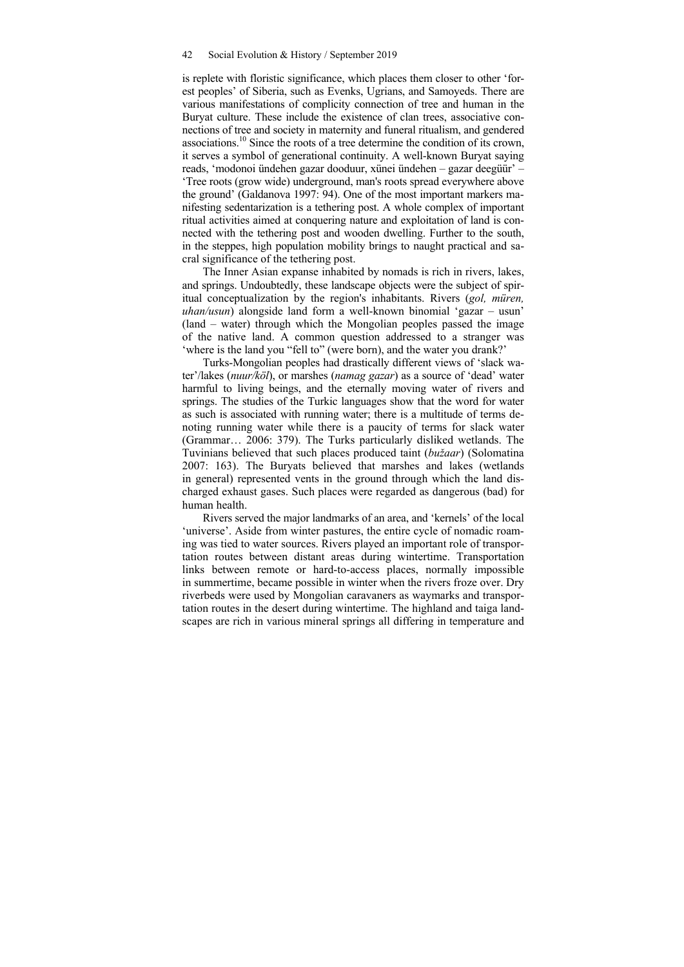is replete with floristic significance, which places them closer to other 'forest peoples' of Siberia, such as Evenks, Ugrians, and Samoyeds. There are various manifestations of complicity connection of tree and human in the Buryat culture. These include the existence of clan trees, associative connections of tree and society in maternity and funeral ritualism, and gendered associations.10 Since the roots of a tree determine the condition of its crown, it serves a symbol of generational continuity. A well-known Buryat saying reads, 'modonoi ündehen gazar dooduur, xünei ündehen – gazar deegüür' – 'Tree roots (grow wide) underground, man's roots spread everywhere above the ground' (Galdanova 1997: 94). One of the most important markers manifesting sedentarization is a tethering post. A whole complex of important ritual activities aimed at conquering nature and exploitation of land is connected with the tethering post and wooden dwelling. Further to the south, in the steppes, high population mobility brings to naught practical and sacral significance of the tethering post.

The Inner Asian expanse inhabited by nomads is rich in rivers, lakes, and springs. Undoubtedly, these landscape objects were the subject of spiritual conceptualization by the region's inhabitants. Rivers (*gol, müren, uhan/usun*) alongside land form a well-known binomial 'gazar – usun' (land – water) through which the Mongolian peoples passed the image of the native land. A common question addressed to a stranger was 'where is the land you "fell to" (were born), and the water you drank?'

Turks-Mongolian peoples had drastically different views of 'slack water'/lakes (*nuur/köl*), or marshes (*namag gazar*) as a source of 'dead' water harmful to living beings, and the eternally moving water of rivers and springs. The studies of the Turkic languages show that the word for water as such is associated with running water; there is a multitude of terms denoting running water while there is a paucity of terms for slack water (Grammar… 2006: 379). The Turks particularly disliked wetlands. The Tuvinians believed that such places produced taint (*bužaar*) (Solomatina 2007: 163). The Buryats believed that marshes and lakes (wetlands in general) represented vents in the ground through which the land discharged exhaust gases. Such places were regarded as dangerous (bad) for human health.

Rivers served the major landmarks of an area, and 'kernels' of the local 'universe'. Aside from winter pastures, the entire cycle of nomadic roaming was tied to water sources. Rivers played an important role of transportation routes between distant areas during wintertime. Transportation links between remote or hard-to-access places, normally impossible in summertime, became possible in winter when the rivers froze over. Dry riverbeds were used by Mongolian caravaners as waymarks and transportation routes in the desert during wintertime. The highland and taiga landscapes are rich in various mineral springs all differing in temperature and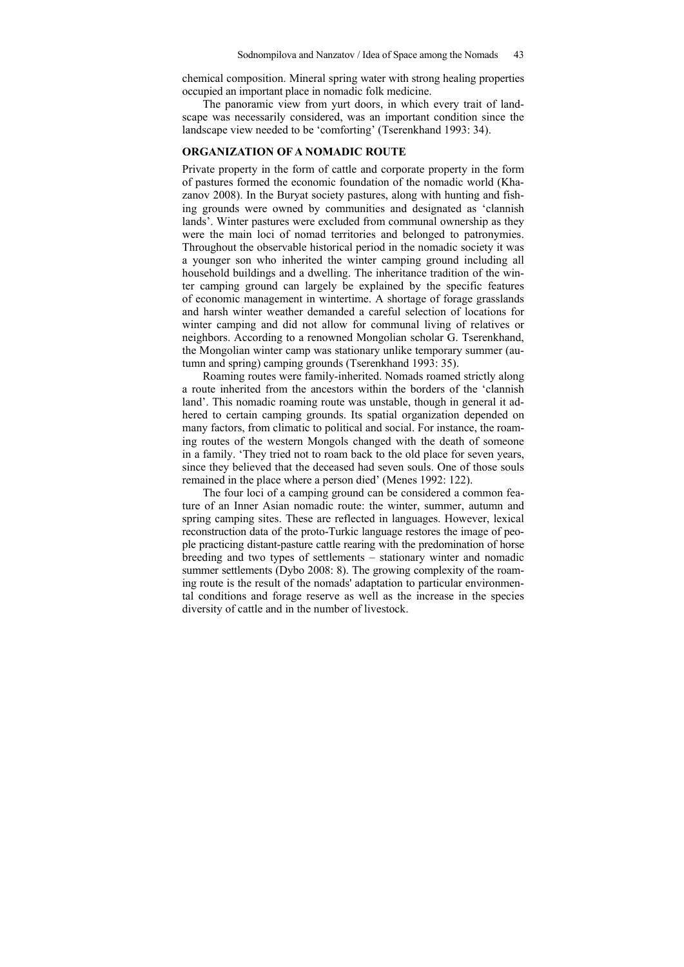chemical composition. Mineral spring water with strong healing properties occupied an important place in nomadic folk medicine.

The panoramic view from yurt doors, in which every trait of landscape was necessarily considered, was an important condition since the landscape view needed to be 'comforting' (Tserenkhand 1993: 34).

## **ORGANIZATION OF A NOMADIC ROUTE**

Private property in the form of cattle and corporate property in the form of pastures formed the economic foundation of the nomadic world (Khazanov 2008). In the Buryat society pastures, along with hunting and fishing grounds were owned by communities and designated as 'clannish lands'. Winter pastures were excluded from communal ownership as they were the main loci of nomad territories and belonged to patronymies. Throughout the observable historical period in the nomadic society it was a younger son who inherited the winter camping ground including all household buildings and a dwelling. The inheritance tradition of the winter camping ground can largely be explained by the specific features of economic management in wintertime. A shortage of forage grasslands and harsh winter weather demanded a careful selection of locations for winter camping and did not allow for communal living of relatives or neighbors. According to a renowned Mongolian scholar G. Tserenkhand, the Mongolian winter camp was stationary unlike temporary summer (autumn and spring) camping grounds (Tserenkhand 1993: 35).

Roaming routes were family-inherited. Nomads roamed strictly along a route inherited from the ancestors within the borders of the 'clannish land'. This nomadic roaming route was unstable, though in general it adhered to certain camping grounds. Its spatial organization depended on many factors, from climatic to political and social. For instance, the roaming routes of the western Mongols changed with the death of someone in a family. 'They tried not to roam back to the old place for seven years, since they believed that the deceased had seven souls. One of those souls remained in the place where a person died' (Menes 1992: 122).

The four loci of a camping ground can be considered a common feature of an Inner Asian nomadic route: the winter, summer, autumn and spring camping sites. These are reflected in languages. However, lexical reconstruction data of the proto-Turkic language restores the image of people practicing distant-pasture cattle rearing with the predomination of horse breeding and two types of settlements – stationary winter and nomadic summer settlements (Dybo 2008: 8). The growing complexity of the roaming route is the result of the nomads' adaptation to particular environmental conditions and forage reserve as well as the increase in the species diversity of cattle and in the number of livestock.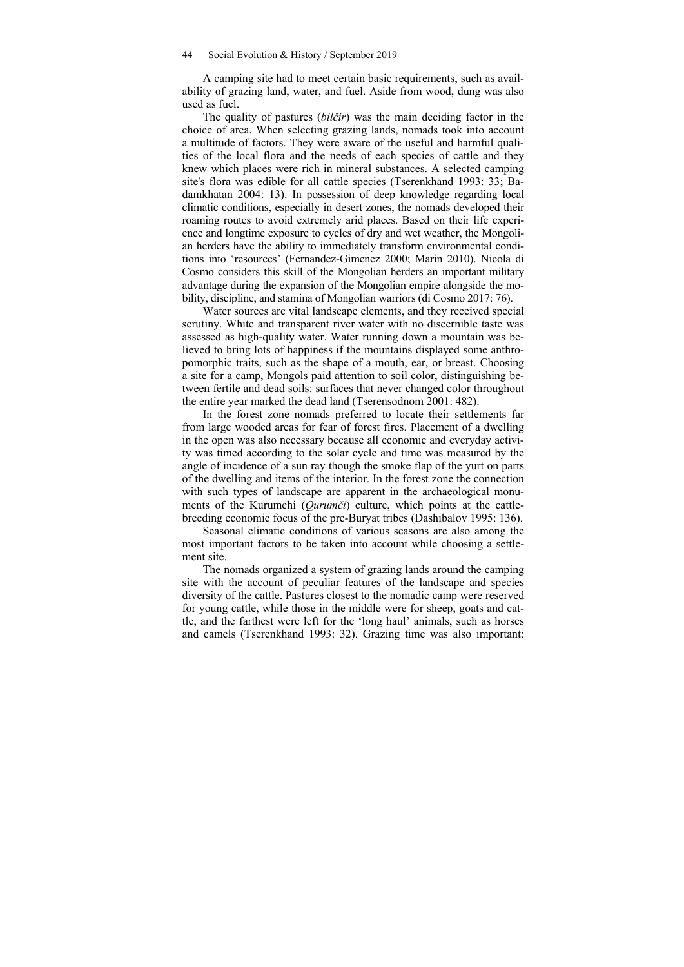A camping site had to meet certain basic requirements, such as availability of grazing land, water, and fuel. Aside from wood, dung was also used as fuel.

The quality of pastures (*bilčir*) was the main deciding factor in the choice of area. When selecting grazing lands, nomads took into account a multitude of factors. They were aware of the useful and harmful qualities of the local flora and the needs of each species of cattle and they knew which places were rich in mineral substances. A selected camping site's flora was edible for all cattle species (Tserenkhand 1993: 33; Badamkhatan 2004: 13). In possession of deep knowledge regarding local climatic conditions, especially in desert zones, the nomads developed their roaming routes to avoid extremely arid places. Based on their life experience and longtime exposure to cycles of dry and wet weather, the Mongolian herders have the ability to immediately transform environmental conditions into 'resources' (Fernandez-Gimenez 2000; Marin 2010). Nicola di Cosmo considers this skill of the Mongolian herders an important military advantage during the expansion of the Mongolian empire alongside the mobility, discipline, and stamina of Mongolian warriors (di Cosmo 2017: 76).

Water sources are vital landscape elements, and they received special scrutiny. White and transparent river water with no discernible taste was assessed as high-quality water. Water running down a mountain was believed to bring lots of happiness if the mountains displayed some anthropomorphic traits, such as the shape of a mouth, ear, or breast. Choosing a site for a camp, Mongols paid attention to soil color, distinguishing between fertile and dead soils: surfaces that never changed color throughout the entire year marked the dead land (Tserensodnom 2001: 482).

In the forest zone nomads preferred to locate their settlements far from large wooded areas for fear of forest fires. Placement of a dwelling in the open was also necessary because all economic and everyday activity was timed according to the solar cycle and time was measured by the angle of incidence of a sun ray though the smoke flap of the yurt on parts of the dwelling and items of the interior. In the forest zone the connection with such types of landscape are apparent in the archaeological monuments of the Kurumchi (*Qurumči*) culture, which points at the cattlebreeding economic focus of the pre-Buryat tribes (Dashibalov 1995: 136).

Seasonal climatic conditions of various seasons are also among the most important factors to be taken into account while choosing a settlement site.

The nomads organized a system of grazing lands around the camping site with the account of peculiar features of the landscape and species diversity of the cattle. Pastures closest to the nomadic camp were reserved for young cattle, while those in the middle were for sheep, goats and cattle, and the farthest were left for the 'long haul' animals, such as horses and camels (Tserenkhand 1993: 32). Grazing time was also important: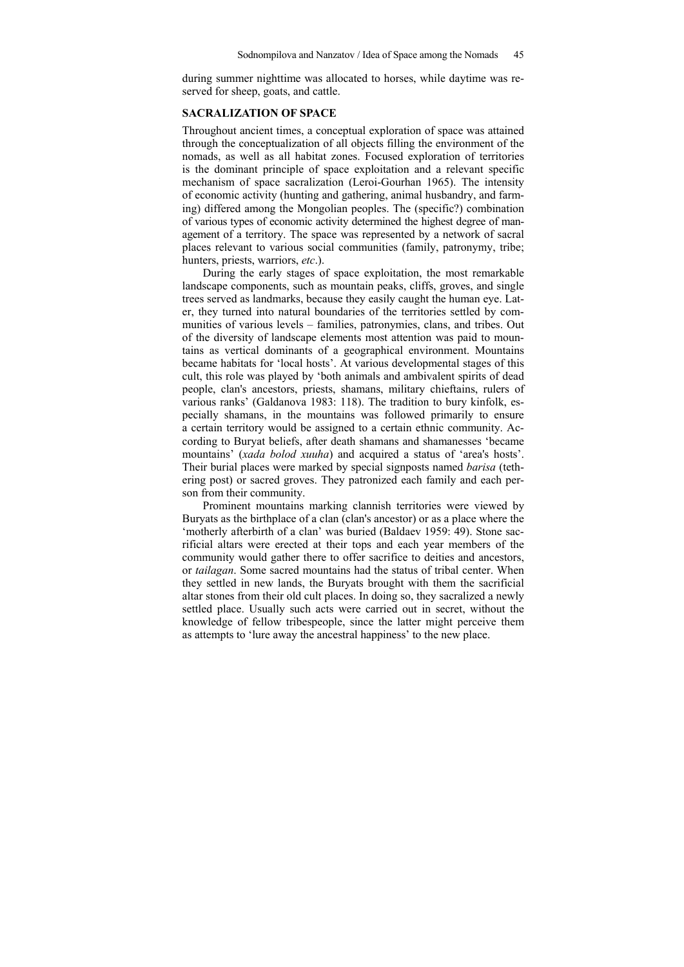during summer nighttime was allocated to horses, while daytime was reserved for sheep, goats, and cattle.

#### **SACRALIZATION OF SPACE**

Throughout ancient times, a conceptual exploration of space was attained through the conceptualization of all objects filling the environment of the nomads, as well as all habitat zones. Focused exploration of territories is the dominant principle of space exploitation and a relevant specific mechanism of space sacralization (Leroi-Gourhan 1965). The intensity of economic activity (hunting and gathering, animal husbandry, and farming) differed among the Mongolian peoples. The (specific?) combination of various types of economic activity determined the highest degree of management of a territory. The space was represented by a network of sacral places relevant to various social communities (family, patronymy, tribe; hunters, priests, warriors, *etc*.).

During the early stages of space exploitation, the most remarkable landscape components, such as mountain peaks, cliffs, groves, and single trees served as landmarks, because they easily caught the human eye. Later, they turned into natural boundaries of the territories settled by communities of various levels – families, patronymies, clans, and tribes. Out of the diversity of landscape elements most attention was paid to mountains as vertical dominants of a geographical environment. Mountains became habitats for 'local hosts'. At various developmental stages of this cult, this role was played by 'both animals and ambivalent spirits of dead people, clan's ancestors, priests, shamans, military chieftains, rulers of various ranks' (Galdanova 1983: 118). The tradition to bury kinfolk, especially shamans, in the mountains was followed primarily to ensure a certain territory would be assigned to a certain ethnic community. According to Buryat beliefs, after death shamans and shamanesses 'became mountains' (*xada bolod xuuha*) and acquired a status of 'area's hosts'. Their burial places were marked by special signposts named *barisa* (tethering post) or sacred groves. They patronized each family and each person from their community.

Prominent mountains marking clannish territories were viewed by Buryats as the birthplace of a clan (clan's ancestor) or as a place where the 'motherly afterbirth of a clan' was buried (Baldaev 1959: 49). Stone sacrificial altars were erected at their tops and each year members of the community would gather there to offer sacrifice to deities and ancestors, or *tailagan*. Some sacred mountains had the status of tribal center. When they settled in new lands, the Buryats brought with them the sacrificial altar stones from their old cult places. In doing so, they sacralized a newly settled place. Usually such acts were carried out in secret, without the knowledge of fellow tribespeople, since the latter might perceive them as attempts to 'lure away the ancestral happiness' to the new place.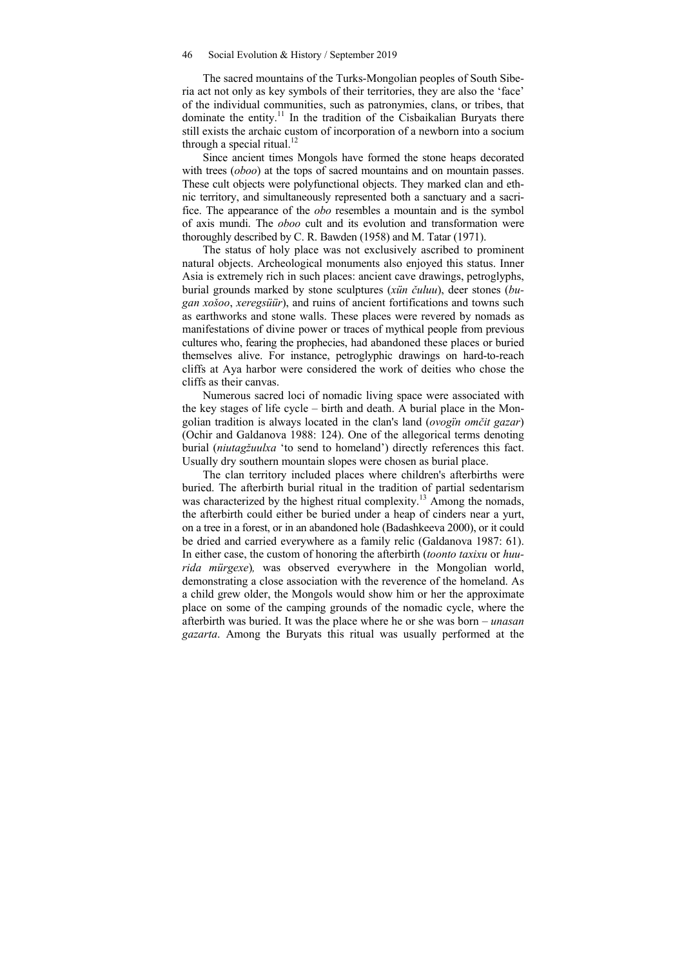The sacred mountains of the Turks-Mongolian peoples of South Siberia act not only as key symbols of their territories, they are also the 'face' of the individual communities, such as patronymies, clans, or tribes, that dominate the entity.<sup>11</sup> In the tradition of the Cisbaikalian Buryats there still exists the archaic custom of incorporation of a newborn into a socium through a special ritual. $^{12}$ 

Since ancient times Mongols have formed the stone heaps decorated with trees (*oboo*) at the tops of sacred mountains and on mountain passes. These cult objects were polyfunctional objects. They marked clan and ethnic territory, and simultaneously represented both a sanctuary and a sacrifice. The appearance of the *obo* resembles a mountain and is the symbol of axis mundi. The *oboo* cult and its evolution and transformation were thoroughly described by C. R. Bawden (1958) and M. Tatar (1971).

The status of holy place was not exclusively ascribed to prominent natural objects. Archeological monuments also enjoyed this status. Inner Asia is extremely rich in such places: ancient cave drawings, petroglyphs, burial grounds marked by stone sculptures (*xün čuluu*), deer stones (*bugan xošoo*, *xeregsüür*), and ruins of ancient fortifications and towns such as earthworks and stone walls. These places were revered by nomads as manifestations of divine power or traces of mythical people from previous cultures who, fearing the prophecies, had abandoned these places or buried themselves alive. For instance, petroglyphic drawings on hard-to-reach cliffs at Aya harbor were considered the work of deities who chose the cliffs as their canvas.

Numerous sacred loci of nomadic living space were associated with the key stages of life cycle – birth and death. A burial place in the Mongolian tradition is always located in the clan's land (*ovogïn omčit gazar*) (Ochir and Galdanova 1988: 124). One of the allegorical terms denoting burial (*niutagžuulxa* 'to send to homeland') directly references this fact. Usually dry southern mountain slopes were chosen as burial place.

The clan territory included places where children's afterbirths were buried. The afterbirth burial ritual in the tradition of partial sedentarism was characterized by the highest ritual complexity.<sup>13</sup> Among the nomads, the afterbirth could either be buried under a heap of cinders near a yurt, on a tree in a forest, or in an abandoned hole (Badashkeeva 2000), or it could be dried and carried everywhere as a family relic (Galdanova 1987: 61). In either case, the custom of honoring the afterbirth (*toonto taxixu* or *huurida mürgexe*)*,* was observed everywhere in the Mongolian world, demonstrating a close association with the reverence of the homeland. As a child grew older, the Mongols would show him or her the approximate place on some of the camping grounds of the nomadic cycle, where the afterbirth was buried. It was the place where he or she was born – *unasan gazarta*. Among the Buryats this ritual was usually performed at the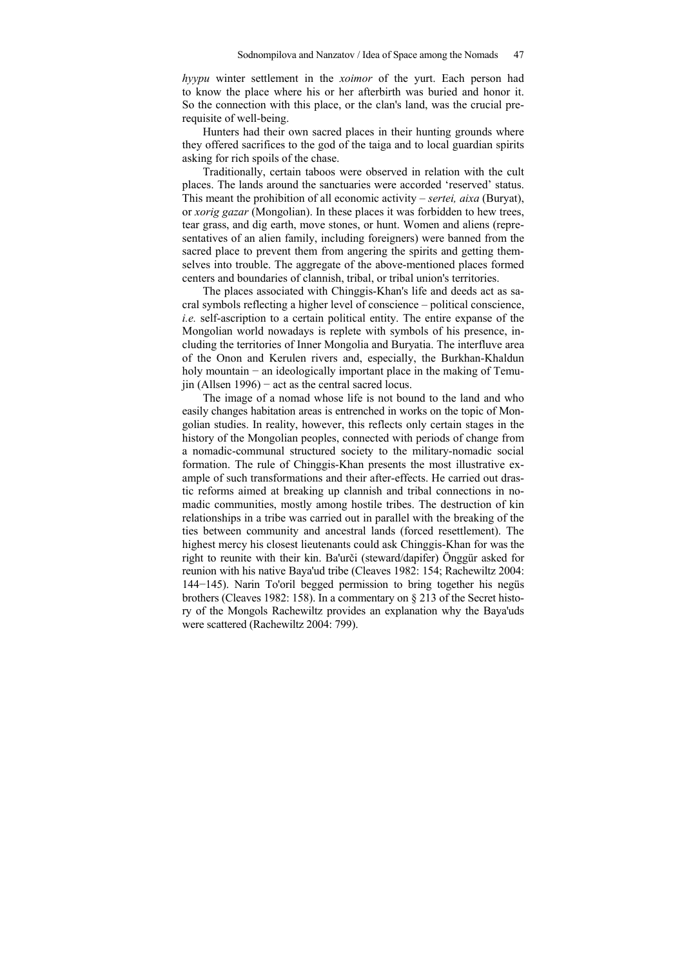*hуури* winter settlement in the *xoimor* of the yurt. Each person had to know the place where his or her afterbirth was buried and honor it. So the connection with this place, or the clan's land, was the crucial prerequisite of well-being.

Hunters had their own sacred places in their hunting grounds where they offered sacrifices to the god of the taiga and to local guardian spirits asking for rich spoils of the chase.

Traditionally, certain taboos were observed in relation with the cult places. The lands around the sanctuaries were accorded 'reserved' status. This meant the prohibition of all economic activity – *sertei, aixa* (Buryat), or *xorig gazar* (Mongolian). In these places it was forbidden to hew trees, tear grass, and dig earth, move stones, or hunt. Women and aliens (representatives of an alien family, including foreigners) were banned from the sacred place to prevent them from angering the spirits and getting themselves into trouble. The aggregate of the above-mentioned places formed centers and boundaries of clannish, tribal, or tribal union's territories.

The places associated with Chinggis-Khan's life and deeds act as sacral symbols reflecting a higher level of conscience – political conscience, *i.e.* self-ascription to a certain political entity. The entire expanse of the Mongolian world nowadays is replete with symbols of his presence, including the territories of Inner Mongolia and Buryatia. The interfluve area of the Onon and Kerulen rivers and, especially, the Burkhan-Khaldun holy mountain – an ideologically important place in the making of Temujin (Allsen 1996) − act as the central sacred locus.

The image of a nomad whose life is not bound to the land and who easily changes habitation areas is entrenched in works on the topic of Mongolian studies. In reality, however, this reflects only certain stages in the history of the Mongolian peoples, connected with periods of change from a nomadic-communal structured society to the military-nomadic social formation. The rule of Chinggis-Khan presents the most illustrative example of such transformations and their after-effects. He carried out drastic reforms aimed at breaking up clannish and tribal connections in nomadic communities, mostly among hostile tribes. The destruction of kin relationships in a tribe was carried out in parallel with the breaking of the ties between community and ancestral lands (forced resettlement). The highest mercy his closest lieutenants could ask Chinggis-Khan for was the right to reunite with their kin. Ba'urči (steward/dapifer) Önggür asked for reunion with his native Baya'ud tribe (Сleaves 1982: 154; Rachewiltz 2004: 144−145). Narin To'oril begged permission to bring together his negüs brothers (Cleaves 1982: 158). In a commentary on § 213 of the Secret history of the Mongols Rachewiltz provides an explanation why the Baya'uds were scattered (Rachewiltz 2004: 799).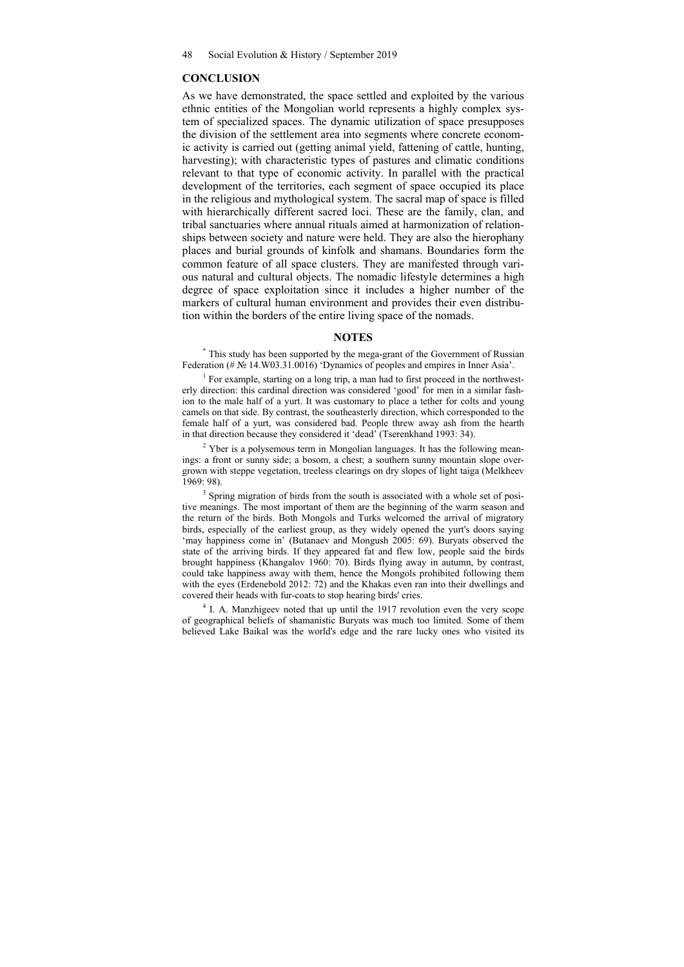#### **CONCLUSION**

As we have demonstrated, the space settled and exploited by the various ethnic entities of the Mongolian world represents a highly complex system of specialized spaces. The dynamic utilization of space presupposes the division of the settlement area into segments where concrete economic activity is carried out (getting animal yield, fattening of cattle, hunting, harvesting); with characteristic types of pastures and climatic conditions relevant to that type of economic activity. In parallel with the practical development of the territories, each segment of space occupied its place in the religious and mythological system. The sacral map of space is filled with hierarchically different sacred loci. These are the family, clan, and tribal sanctuaries where annual rituals aimed at harmonization of relationships between society and nature were held. They are also the hierophany places and burial grounds of kinfolk and shamans. Boundaries form the common feature of all space clusters. They are manifested through various natural and cultural objects. The nomadic lifestyle determines a high degree of space exploitation since it includes a higher number of the markers of cultural human environment and provides their even distribution within the borders of the entire living space of the nomads.

### **NOTES**

\* This study has been supported by the mega-grant of the Government of Russian Federation (# № 14.W03.31.0016) 'Dynamics of peoples and empires in Inner Asia'. 1

 $<sup>1</sup>$  For example, starting on a long trip, a man had to first proceed in the northwest-</sup> erly direction: this cardinal direction was considered 'good' for men in a similar fashion to the male half of a yurt. It was customary to place a tether for colts and young camels on that side. By contrast, the southeasterly direction, which corresponded to the female half of a yurt, was considered bad. People threw away ash from the hearth in that direction because they considered it 'dead' (Tserenkhand 1993: 34).

 $2$  Yber is a polysemous term in Mongolian languages. It has the following meanings: a front or sunny side; a bosom, a chest; a southern sunny mountain slope overgrown with steppe vegetation, treeless clearings on dry slopes of light taiga (Melkheev  $1969.98$ 

<sup>3</sup> Spring migration of birds from the south is associated with a whole set of positive meanings. The most important of them are the beginning of the warm season and the return of the birds. Both Mongols and Turks welcomed the arrival of migratory birds, especially of the earliest group, as they widely opened the yurt's doors saying 'may happiness come in' (Butanaev and Mongush 2005: 69). Buryats observed the state of the arriving birds. If they appeared fat and flew low, people said the birds brought happiness (Khangalov 1960: 70). Birds flying away in autumn, by contrast, could take happiness away with them, hence the Mongols prohibited following them with the eyes (Erdenebold 2012: 72) and the Khakas even ran into their dwellings and covered their heads with fur-coats to stop hearing birds' cries. 4

<sup>4</sup> I. A. Manzhigeev noted that up until the 1917 revolution even the very scope of geographical beliefs of shamanistic Buryats was much too limited. Some of them believed Lake Baikal was the world's edge and the rare lucky ones who visited its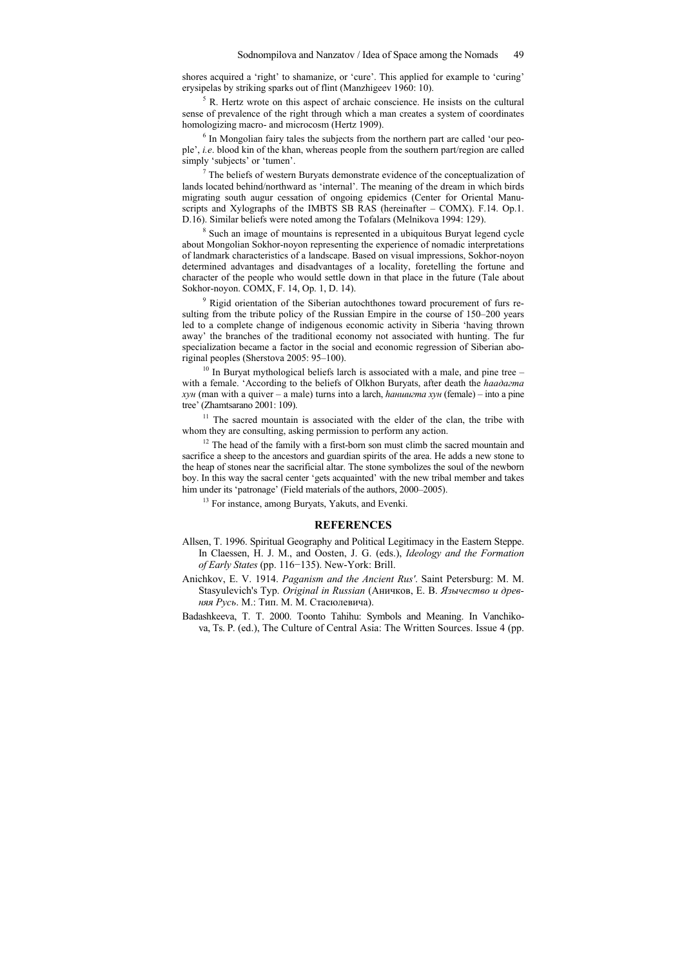shores acquired a 'right' to shamanize, or 'cure'. This applied for example to 'curing' erysipelas by striking sparks out of flint (Manzhigeev 1960: 10).

<sup>5</sup> R. Hertz wrote on this aspect of archaic conscience. He insists on the cultural sense of prevalence of the right through which a man creates a system of coordinates homologizing macro- and microcosm (Hertz 1909).

<sup>6</sup> In Mongolian fairy tales the subjects from the northern part are called 'our people', *i.e*. blood kin of the khan, whereas people from the southern part/region are called simply 'subjects' or 'tumen'.

 $\alpha$ <sup>7</sup> The beliefs of western Buryats demonstrate evidence of the conceptualization of lands located behind/northward as 'internal'. The meaning of the dream in which birds migrating south augur cessation of ongoing epidemics (Center for Oriental Manuscripts and Xylographs of the IMBTS SB RAS (hereinafter – COMX). F.14. Op.1. D.16). Similar beliefs were noted among the Tofalars (Melnikova 1994: 129).

<sup>8</sup> Such an image of mountains is represented in a ubiquitous Buryat legend cycle about Mongolian Sokhor-noyon representing the experience of nomadic interpretations of landmark characteristics of a landscape. Based on visual impressions, Sokhor-noyon determined advantages and disadvantages of a locality, foretelling the fortune and character of the people who would settle down in that place in the future (Tale about Sokhor-noyon. COMX, F. 14, Op. 1, D. 14).

<sup>9</sup> Rigid orientation of the Siberian autochthones toward procurement of furs resulting from the tribute policy of the Russian Empire in the course of 150–200 years led to a complete change of indigenous economic activity in Siberia 'having thrown away' the branches of the traditional economy not associated with hunting. The fur specialization became a factor in the social and economic regression of Siberian aboriginal peoples (Sherstova 2005: 95–100).

 $10$  In Buryat mythological beliefs larch is associated with a male, and pine tree – with a female. 'According to the beliefs of Olkhon Buryats, after death the *hаадагта хyн* (man with a quiver – a male) turns into a larch, *hаншигта хyн* (female) – into a pine tree' (Zhamtsarano 2001: 109).

 $11$  The sacred mountain is associated with the elder of the clan, the tribe with whom they are consulting, asking permission to perform any action.

 $12$  The head of the family with a first-born son must climb the sacred mountain and sacrifice a sheep to the ancestors and guardian spirits of the area. He adds a new stone to the heap of stones near the sacrificial altar. The stone symbolizes the soul of the newborn boy. In this way the sacral center 'gets acquainted' with the new tribal member and takes him under its 'patronage' (Field materials of the authors, 2000–2005).

<sup>13</sup> For instance, among Buryats, Yakuts, and Evenki.

#### **REFERENCES**

- Allsen, T. 1996. Spiritual Geography and Political Legitimacy in the Eastern Steppe. In Claessen, H. J. M., and Oosten, J. G. (eds.), *Ideology and the Formation of Early States* (pp. 116−135). New-York: Brill.
- Anichkov, E. V. 1914. *Paganism and the Ancient Rus'*. Saint Petersburg: M. M. Stasyulevich's Typ. *Original in Russian* (Аничков, Е. В. *Язычество и древняя Русь*. М.: Тип. М. М. Стасюлевича).
- Badashkeeva, T. T. 2000. Toonto Tahihu: Symbols and Meaning. In Vanchikova, Ts. P. (ed.), The Culture of Central Asia: The Written Sources. Issue 4 (pp.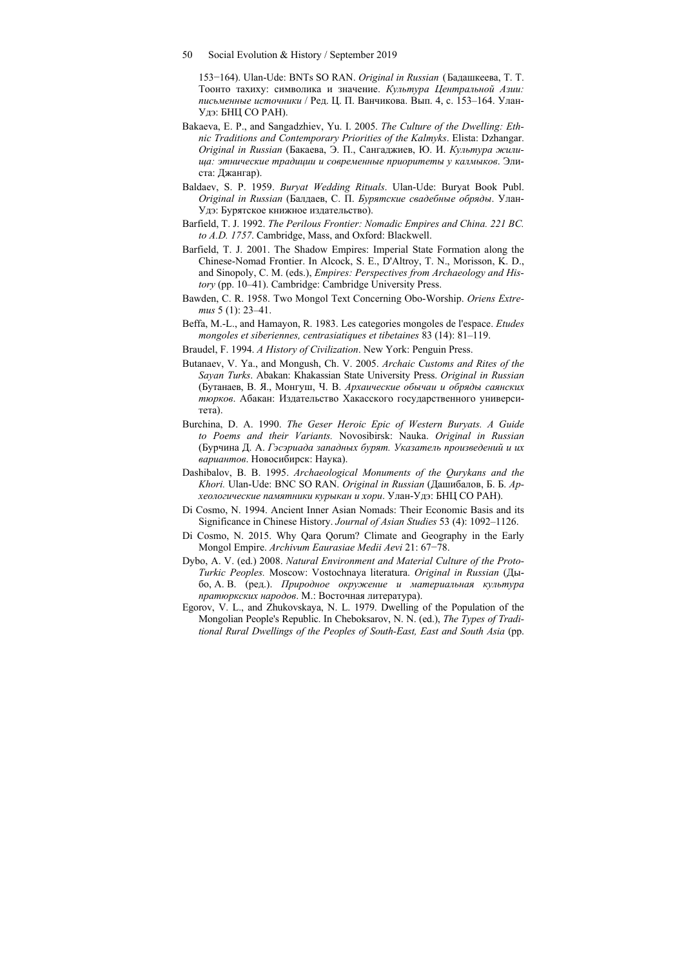153−164). Ulan-Ude: BNTs SO RAN. *Original in Russian* (Бадашкеева, Т. Т. Тоонто тахиху: символика и значение. *Культура Центральной Азии: письменные источники* / Ред. Ц. П. Ванчикова. Вып. 4, с. 153–164. Улан-Удэ: БНЦ СО РАН).

- Bakaeva, E. P., and Sangadzhiev, Yu. I. 2005. *The Culture of the Dwelling: Ethnic Traditions and Contemporary Priorities of the Kalmyks*. Elista: Dzhangar. *Original in Russian* (Бакаева, Э. П., Сангаджиев, Ю. И. *Культура жилища: этнические традиции и современные приоритеты у калмыков*. Элиста: Джангар).
- Baldaev, S. P. 1959. *Buryat Wedding Rituals*. Ulan-Ude: Buryat Book Publ. *Original in Russian* (Балдаев, С. П. *Бурятские свадебные обряды*. Улан-Удэ: Бурятское книжное издательство).
- Barfield, T. J. 1992. *The Perilous Frontier: Nomadic Empires and China. 221 BC. to A.D. 1757*. Cambridge, Mass, and Oxford: Blackwell.
- Barfield, T. J. 2001. The Shadow Empires: Imperial State Formation along the Chinese-Nomad Frontier. In Alcock, S. E., D'Altroy, T. N., Morisson, K. D., and Sinopoly, C. M. (eds.), *Empires: Perspectives from Archaeology and History* (pp. 10–41). Cambridge: Cambridge University Press.
- Bawden, C. R. 1958. Two Mongol Text Concerning Obo-Worship. *Oriens Extremus* 5 (1): 23–41.
- Beffa, M.-L., and Hamayon, R. 1983. Les categories mongoles de l'espace. *Etudes mongoles et siberiennes, centrasiatiques et tibetaines* 83 (14): 81–119.
- Braudel, F. 1994. *A History of Civilization*. New York: Penguin Press.
- Butanaev, V. Ya., and Mongush, Ch. V. 2005. *Archaic Customs and Rites of the Sayan Turks*. Abakan: Khakassian State University Press. *Original in Russian* (Бутанаев, В. Я., Монгуш, Ч. В. *Архаические обычаи и обряды саянских тюрков*. Абакан: Издательство Хакасского государственного университета).
- Burchina, D. A. 1990. *The Geser Heroic Epic of Western Buryats. A Guide to Poems and their Variants.* Novosibirsk: Nauka. *Original in Russian*  (Бурчина Д. А. *Гэсэриада западных бурят. Указатель произведений и их вариантов*. Новосибирск: Наука).
- Dashibalov, B. B. 1995. *Archaeological Monuments of the Qurykans and the Khori.* Ulan-Ude: BNC SO RAN. *Original in Russian* (Дашибалов, Б. Б. *Археологические памятники курыкан и хори*. Улан-Удэ: БНЦ СО РАН).
- Di Cosmo, N. 1994. Ancient Inner Asian Nomads: Their Economic Basis and its Significance in Chinese History. *Journal of Asian Studies* 53 (4): 1092–1126.
- Di Cosmo, N. 2015. Why Qara Qorum? Climate and Geography in the Early Mongol Empire. *Archivum Eaurasiae Medii Aevi* 21: 67−78.
- Dybo, A. V. (ed.) 2008. *Natural Environment and Material Culture of the Proto-Turkic Peoples.* Moscow: Vostochnaya literatura. *Original in Russian* (Дыбо, А. В. (ред.). *Природное окружение и материальная культура пратюркских народов*. М.: Восточная литература).
- Egorov, V. L., and Zhukovskaya, N. L. 1979. Dwelling of the Population of the Mongolian People's Republic. In Cheboksarov, N. N. (ed.), *The Types of Traditional Rural Dwellings of the Peoples of South-East, East and South Asia* (pp.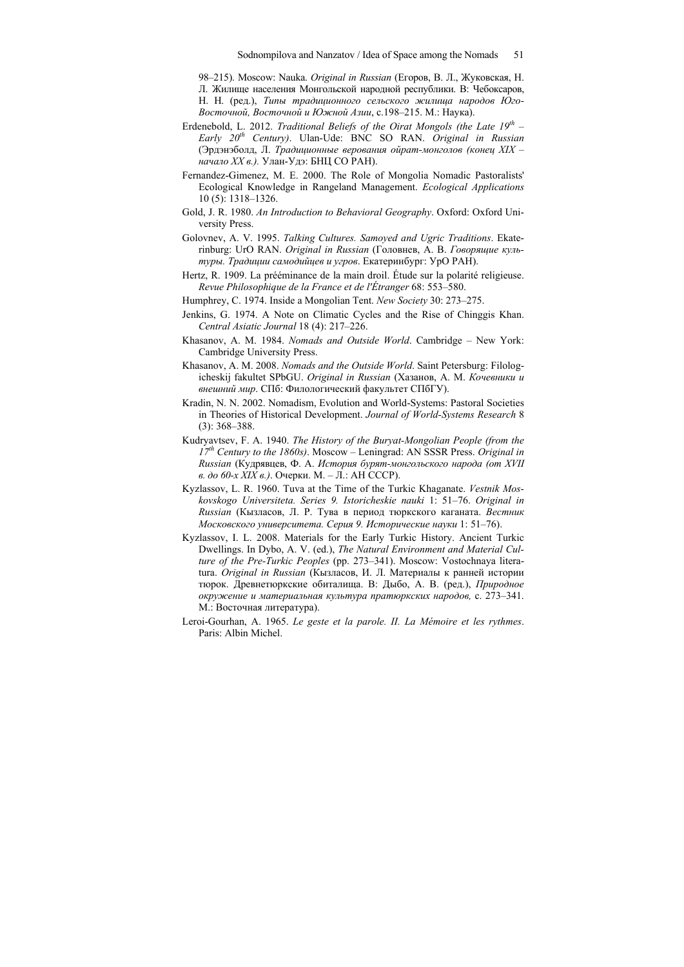98–215). Moscow: Nauka. *Original in Russian* (Егоров, В. Л., Жуковская, Н. Л. Жилище населения Монгольской народной реcпублики. В: Чебоксаров, Н. Н. (ред.), *Типы традиционного сельского жилища народов Юго-Восточной, Восточной и Южной Азии*, с.198–215. М.: Наука).

- Erdenebold, L. 2012. *Traditional Beliefs of the Oirat Mongols (the Late 19th Early 20th Сentury)*. Ulan-Ude: BNC SO RAN. *Original in Russian* (Эрдэнэболд, Л. *Традиционные верования ойрат-монголов (конец XIX – начало XX в.).* Улан-Удэ: БНЦ СО РАН).
- Fernandez-Gimenez, M. E. 2000. The Role of Mongolia Nomadic Pastoralists' Ecological Knowledge in Rangeland Management. *Ecological Applications*  10 (5): 1318–1326.
- Gold, J. R. 1980. *An Introduction to Behavioral Geography*. Oxford: Oxford University Press.
- Golovnev, A. V. 1995. *Talking Cultures. Samoyed and Ugric Traditions*. Ekaterinburg: UrO RAN. *Original in Russian* (Головнев, А. В. *Говорящие культуры. Традиции самодийцев и угров*. Екатеринбург: УрО РАН).
- Hertz, R. 1909. La prééminance de la main droil. Étude sur la polarité religieuse. *Revue Philosophique de la France et de l'Étranger* 68: 553–580.
- Humphrey, C. 1974. Inside a Mongolian Tent. *New Society* 30: 273–275.
- Jenkins, G. 1974. A Note on Climatic Cycles and the Rise of Chinggis Khan. *Central Asiatic Journal* 18 (4): 217–226.
- Khasanov, A. M. 1984. *Nomads and Outside World*. Cambridge New York: Cambridge University Press.
- Khasanov, A. M. 2008. *Nomads and the Outside World*. Saint Petersburg: Filologicheskij fakultet SPbGU. *Original in Russian* (Хазанов, А. М. *Кочевники и внешний мир*. СПб: Филологический факультет СПбГУ).
- Kradin, N. N. 2002. Nomadism, Evolution and World-Systems: Pastoral Societies in Theories of Historical Development. *Journal of World-Systems Research* 8 (3): 368–388.
- Kudryavtsev, F. A. 1940. *The History of the Buryat-Mongolian People (from the 17th Century to the 1860s)*. Moscow – Leningrad: AN SSSR Press. *Original in Russian* (Кудрявцев, Ф. А. *История бурят-монгольского народа (от XVII в. до 60-х XIX в.)*. Очерки. М. – Л.: АН СССР).
- Kyzlassov, L. R. 1960. Tuva at the Time of the Turkic Khaganate. *Vestnik Moskovskogo Universiteta. Series 9. Istoricheskie nauki* 1: 51–76. *Original in Russian* (Кызласов, Л. Р. Тува в период тюркского каганата. *Вестник Московского университета. Серия 9. Исторические науки* 1: 51–76).
- Kyzlassov, I. L. 2008. Materials for the Early Turkic History. Ancient Turkic Dwellings. In Dybo, A. V. (ed.), *The Natural Environment and Material Culture of the Pre-Turkic Peoples* (pp. 273–341). Moscow: Vostochnaya literatura. *Original in Russian* (Кызласов, И. Л. Материалы к ранней истории тюрок. Древнетюркские обиталища. В: Дыбо, А. В. (ред.), *Природное окружение и материальная культура пратюркских народов,* с. 273–341. М.: Восточная литература).
- Leroi-Gourhan, A. 1965. *Le geste et la parole. II. La Mémoire et les rythmes*. Paris: Albin Michel.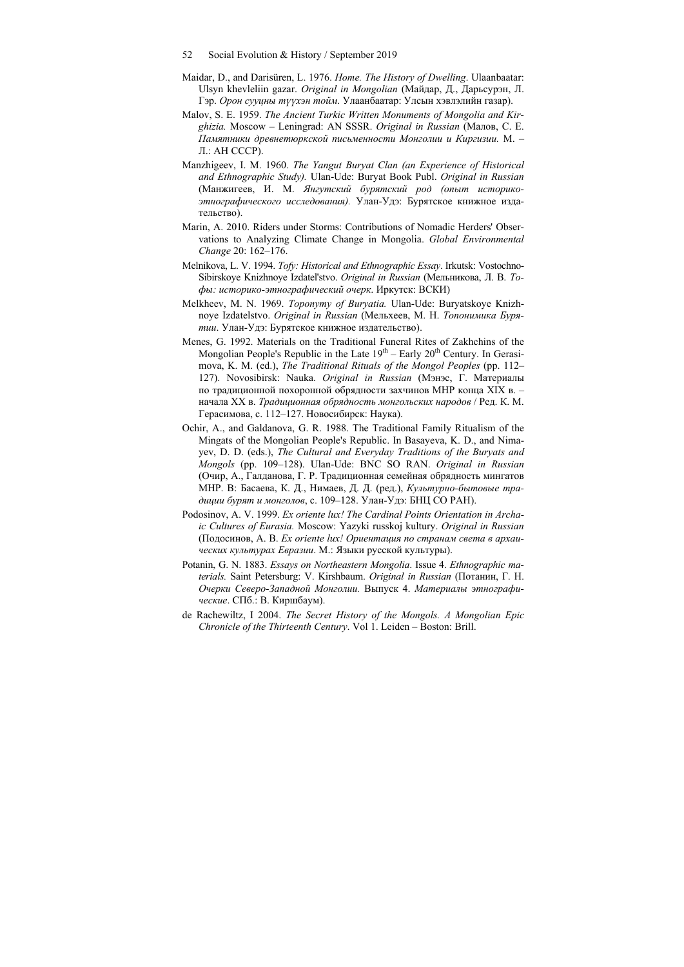- Maidar, D., and Darisüren, L. 1976. *Home. The History of Dwelling*. Ulaanbaatar: Ulsyn khevleliin gazar. *Original in Mongolian* (Майдар, Д., Дарьсурэн, Л. Гэр. *Орон сууцны түүхэн тойм*. Улаанбаатар: Улсын хэвлэлийн газар).
- Malov, S. E. 1959. *The Ancient Turkic Written Monuments of Mongolia and Kirghizia.* Moscow – Leningrad: AN SSSR. *Original in Russian* (Малов, С. Е. *Памятники древнетюркской письменности Монголии и Киргизии.* М. – Л.: АН СССР).
- Manzhigeev, I. M. 1960. *The Yangut Buryat Clan (an Experience of Historical and Ethnographic Study).* Ulan-Ude: Buryat Book Publ. *Original in Russian*  (Манжигеев, И. М. *Янгутский бурятский род (опыт историкоэтнографического исследования).* Улан-Удэ: Бурятское книжное издательство).
- Marin, A. 2010. Riders under Storms: Contributions of Nomadic Herders' Observations to Analyzing Climate Change in Mongolia. *Global Environmental Change* 20: 162–176.
- Melnikova, L. V. 1994. *Tofy: Historical and Ethnographic Essay*. Irkutsk: Vostochno-Sibirskoye Knizhnoye Izdatel'stvo. *Original in Russian* (Мельникова, Л. В. *Тофы: историко-этнографический очерк*. Иркутск: ВСКИ)
- Melkheev, M. N. 1969. *Toponymy of Buryatia.* Ulan-Ude: Buryatskoye Knizhnoye Izdatelstvo. *Original in Russian* (Мельхеев, М. Н. *Топонимика Бурятии*. Улан-Удэ: Бурятское книжное издательство).
- Menes, G. 1992. Materials on the Traditional Funeral Rites of Zakhchins of the Mongolian People's Republic in the Late  $19<sup>th</sup>$  – Early  $20<sup>th</sup>$  Century. In Gerasimova, K. M. (ed.), *The Traditional Rituals of the Mongol Peoples* (pp. 112– 127). Novosibirsk: Nauka. *Original in Russian* (Мэнэс, Г. Материалы по традиционной похоронной обрядности захчинов МНР конца XIX в. – начала XX в. *Традиционная обрядность монгольских народов* / Ред. К. М. Герасимова, с. 112–127. Новосибирск: Наука).
- Ochir, A., and Galdanova, G. R. 1988. The Traditional Family Ritualism of the Mingats of the Mongolian People's Republic. In Basayeva, K. D., and Nimayev, D. D. (eds.), *The Cultural and Everyday Traditions of the Buryats and Mongols* (pp. 109–128). Ulan-Ude: BNC SO RAN. *Original in Russian* (Очир, А., Галданова, Г. Р. Традиционная семейная обрядность мингатов МНР. В: Басаева, К. Д., Нимаев, Д. Д. (ред.), *Культурно-бытовые традиции бурят и монголов*, с. 109–128. Улан-Удэ: БНЦ СО РАН).
- Podosinov, A. V. 1999. *Ex oriente lux! The Cardinal Points Orientation in Archaic Cultures of Eurasia.* Moscow: Yazyki russkoj kultury. *Original in Russian* (Подосинов, А. В. *Ex oriente lux! Ориентация по странам света в архаических культурах Евразии*. М.: Языки русской культуры).
- Potanin, G. N. 1883. *Essays on Northeastern Mongolia*. Issue 4. *Ethnographic materials.* Saint Petersburg: V. Kirshbaum. *Original in Russian* (Потанин, Г. Н. *Очерки Северо-Западной Монголии.* Выпуск 4. *Материалы этнографические*. СПб.: В. Киршбаум).
- de Rachewiltz, I 2004. *The Secret History of the Mongols. A Mongolian Epic Chronicle of the Thirteenth Сentury*. Vol 1. Leiden – Boston: Brill.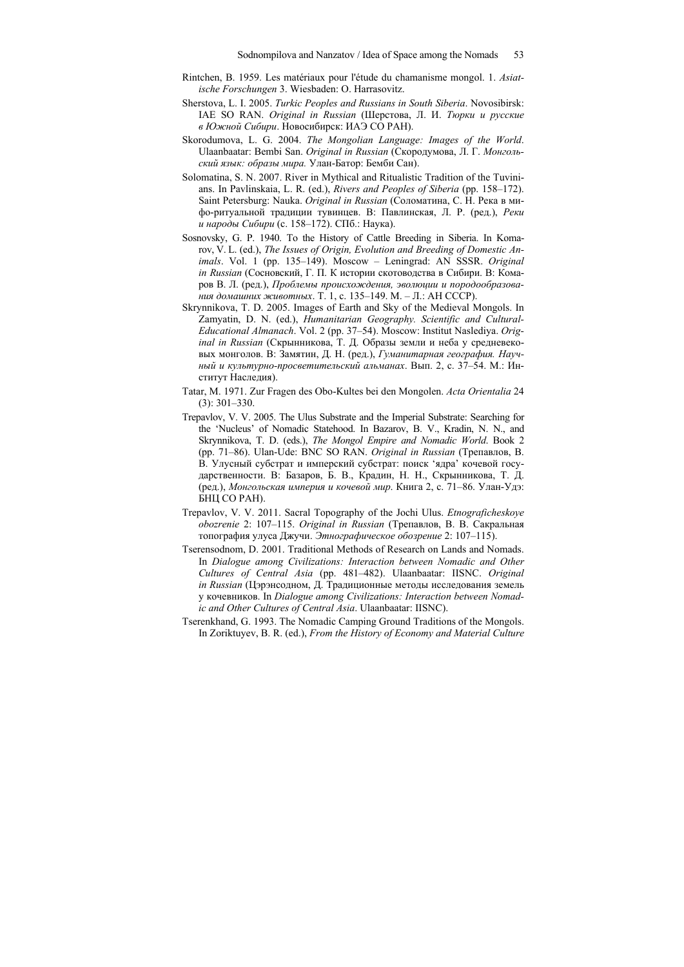- Rintchen, B. 1959. Les matériaux pour l'étude du chamanisme mongol. 1. *Asiatische Forschungen* 3. Wiesbaden: O. Harrasovitz.
- Sherstova, L. I. 2005. *Turkic Peoples and Russians in South Siberia*. Novosibirsk: IAE SO RAN. *Original in Russian* (Шерстова, Л. И. *Тюрки и русские в Южной Сибири*. Новосибирск: ИАЭ СО РАН).
- Skorodumova, L. G. 2004. *The Mongolian Language: Images of the World*. Ulaanbaatar: Bembi San. *Original in Russian* (Скородумова, Л. Г. *Монгольский язык: образы мира.* Улан-Батор: Бемби Сан).
- Solomatina, S. N. 2007. River in Mythical and Ritualistic Tradition of the Tuvinians. In Pavlinskaia, L. R. (ed.), *Rivers and Peoples of Siberia* (pp. 158–172). Saint Petersburg: Nauka. *Original in Russian* (Соломатина, С. Н. Река в мифо-ритуальной традиции тувинцев. В: Павлинская, Л. Р. (ред.), *Реки и народы Сибири* (с. 158–172). СПб.: Наука).
- Sosnovsky, G. P. 1940. To the History of Cattle Breeding in Siberia. In Komarov, V. L. (ed.), *The Issues of Origin, Evolution and Breeding of Domestic Animals*. Vol. 1 (pp. 135–149). Moscow – Leningrad: AN SSSR. *Original in Russian* (Сосновский, Г. П. К истории скотоводства в Сибири. В: Комаров В. Л. (ред.), *Проблемы происхождения, эволюции и породообразования домашних животных*. Т. 1, с. 135–149. М. – Л.: АН СССР).
- Skrynnikova, T. D. 2005. Images of Earth and Sky of the Medieval Mongols. In Zamyatin, D. N. (ed.), *Humanitarian Geography. Scientific and Cultural-Educational Almanach*. Vol. 2 (pp. 37–54). Moscow: Institut Naslediya. *Original in Russian* (Скрынникова, Т. Д. Образы земли и неба у средневековых монголов. В: Замятин, Д. Н. (ред.), *Гуманитарная география. Научный и культурно-просветительский альманах*. Вып. 2, с. 37–54. М.: Институт Наследия).
- Tatar, M. 1971. Zur Fragen des Obo-Kultes bei den Mongolen. *Acta Orientalia* 24 (3): 301–330.
- Trepavlov, V. V. 2005. The Ulus Substrate and the Imperial Substrate: Searching for the 'Nucleus' of Nomadic Statehood. In Bazarov, B. V., Kradin, N. N., and Skrynnikova, T. D. (eds.), *The Mongol Empire and Nomadic World*. Book 2 (pp. 71–86). Ulan-Ude: BNC SO RAN. *Original in Russian* (Трепавлов, В. В. Улусный субстрат и имперский субстрат: поиск 'ядра' кочевой государственности. В: Базаров, Б. В., Крадин, Н. Н., Скрынникова, Т. Д. (ред.), *Монгольская империя и кочевой мир*. Книга 2, с. 71–86. Улан-Удэ: БНЦ СО РАН).
- Trepavlov, V. V. 2011. Sacral Topography of the Jochi Ulus. *Etnograficheskoye obozrenie* 2: 107–115. *Original in Russian* (Трепавлов, В. В. Сакральная топография улуса Джучи. *Этнографическое обозрение* 2: 107–115).
- Tserensodnom, D. 2001. Traditional Methods of Research on Lands and Nomads. In *Dialogue among Civilizations: Interaction between Nomadic and Other Cultures of Central Asia* (pp. 481–482). Ulaanbaatar: IISNC. *Original in Russian* (Цэрэнсодном, Д. Традиционные методы исследования земель у кочевников. In *Dialogue among Civilizations: Interaction between Nomadic and Other Cultures of Central Asia*. Ulaanbaatar: IISNC).
- Tserenkhand, G. 1993. The Nomadic Camping Ground Traditions of the Mongols. In Zoriktuyev, B. R. (ed.), *From the History of Economy and Material Culture*